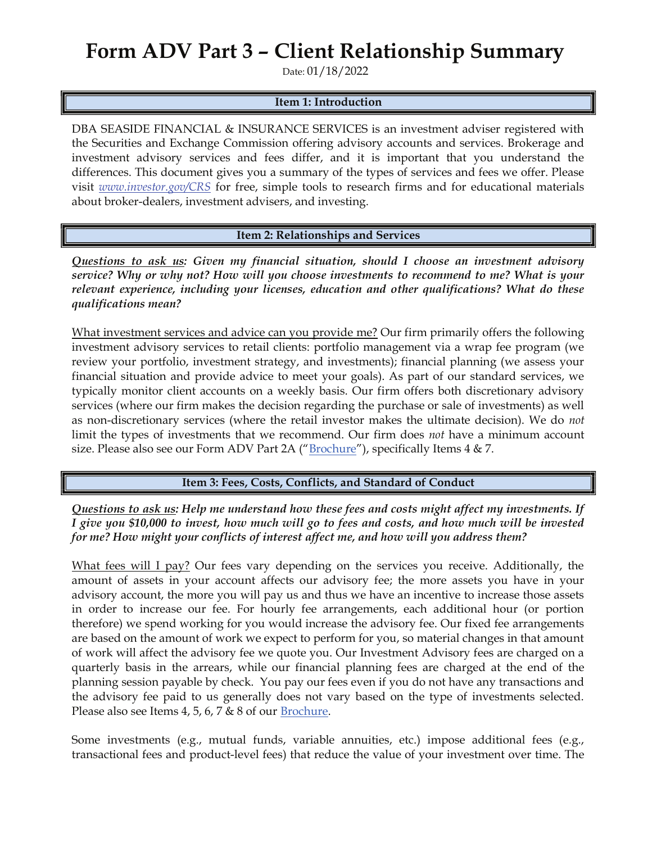## Form ADV Part 3 – Client Relationship Summary

Date: 01/18/2022

## Item 1: Introduction

DBA SEASIDE FINANCIAL & INSURANCE SERVICES is an investment adviser registered with the Securities and Exchange Commission offering advisory accounts and services. Brokerage and investment advisory services and fees differ, and it is important that you understand the differences. This document gives you a summary of the types of services and fees we offer. Please visit *www.investor.gov/CRS* for free, simple tools to research firms and for educational materials about broker-dealers, investment advisers, and investing.

Item 2: Relationships and Services

*Questions to ask us: Given my financial situation, should I choose an investment advisory service? Why or why not? How will you choose investments to recommend to me? What is your relevant experience, including your licenses, education and other qualifications? What do these qualifications mean?*

What investment services and advice can you provide me? Our firm primarily offers the following investment advisory services to retail clients: portfolio management via a wrap fee program (we review your portfolio, investment strategy, and investments); financial planning (we assess your financial situation and provide advice to meet your goals). As part of our standard services, we typically monitor client accounts on a weekly basis. Our firm offers both discretionary advisory services (where our firm makes the decision regarding the purchase or sale of investments) as well as non-discretionary services (where the retail investor makes the ultimate decision). We do *not*  limit the types of investments that we recommend. Our firm does *not* have a minimum account size. Please also see our Form ADV Part 2A (" $Brochure$ "), specifically Items  $4 & 7$ .

Item 3: Fees, Costs, Conflicts, and Standard of Conduct

*Questions to ask us: Help me understand how these fees and costs might affect my investments. If I give you \$10,000 to invest, how much will go to fees and costs, and how much will be invested for me? How might your conflicts of interest affect me, and how will you address them?* 

What fees will I pay? Our fees vary depending on the services you receive. Additionally, the amount of assets in your account affects our advisory fee; the more assets you have in your advisory account, the more you will pay us and thus we have an incentive to increase those assets in order to increase our fee. For hourly fee arrangements, each additional hour (or portion therefore) we spend working for you would increase the advisory fee. Our fixed fee arrangements are based on the amount of work we expect to perform for you, so material changes in that amount of work will affect the advisory fee we quote you. Our Investment Advisory fees are charged on a quarterly basis in the arrears, while our financial planning fees are charged at the end of the planning session payable by check. You pay our fees even if you do not have any transactions and the advisory fee paid to us generally does not vary based on the type of investments selected. Please also see Items 4, 5, 6, 7  $\&$  8 of our Brochure.

Some investments (e.g., mutual funds, variable annuities, etc.) impose additional fees (e.g., transactional fees and product-level fees) that reduce the value of your investment over time. The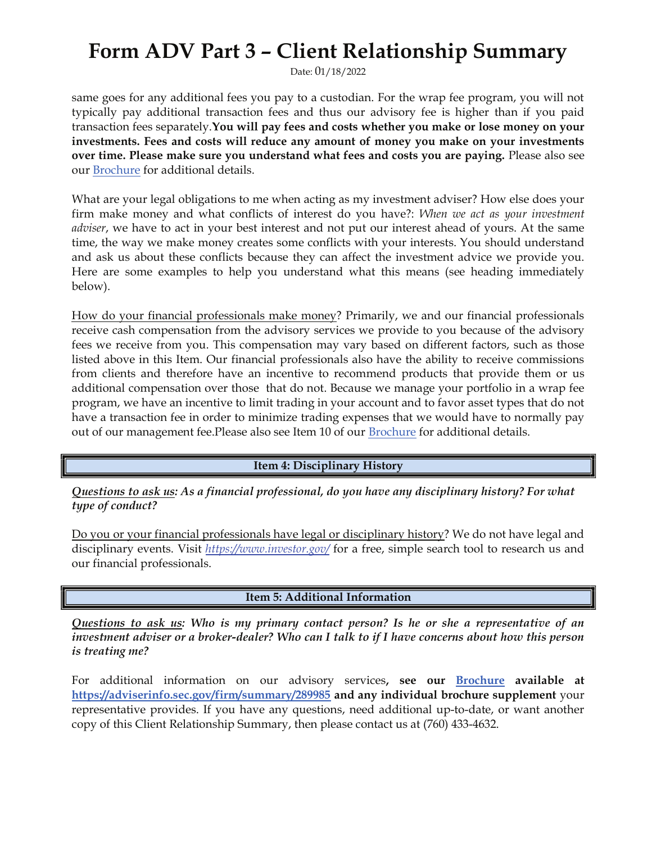## Form ADV Part 3 – Client Relationship Summary

Date: 01/18/2022

same goes for any additional fees you pay to a custodian. For the wrap fee program, you will not typically pay additional transaction fees and thus our advisory fee is higher than if you paid transaction fees separately.You will pay fees and costs whether you make or lose money on your investments. Fees and costs will reduce any amount of money you make on your investments over time. Please make sure you understand what fees and costs you are paying. Please also see our Brochure for additional details.

What are your legal obligations to me when acting as my investment adviser? How else does your firm make money and what conflicts of interest do you have?: *When we act as your investment adviser*, we have to act in your best interest and not put our interest ahead of yours. At the same time, the way we make money creates some conflicts with your interests. You should understand and ask us about these conflicts because they can affect the investment advice we provide you. Here are some examples to help you understand what this means (see heading immediately below).

How do your financial professionals make money? Primarily, we and our financial professionals receive cash compensation from the advisory services we provide to you because of the advisory fees we receive from you. This compensation may vary based on different factors, such as those listed above in this Item. Our financial professionals also have the ability to receive commissions from clients and therefore have an incentive to recommend products that provide them or us additional compensation over those that do not. Because we manage your portfolio in a wrap fee program, we have an incentive to limit trading in your account and to favor asset types that do not have a transaction fee in order to minimize trading expenses that we would have to normally pay out of our management fee. Please also see Item 10 of our **Brochure** for additional details.

Item 4: Disciplinary History

*Questions to ask us: As a financial professional, do you have any disciplinary history? For what type of conduct?* 

Do you or your financial professionals have legal or disciplinary history? We do not have legal and disciplinary events. Visit *https://www.investor.gov/* for a free, simple search tool to research us and our financial professionals.

Item 5: Additional Information

*Questions to ask us: Who is my primary contact person? Is he or she a representative of an investment adviser or a broker-dealer? Who can I talk to if I have concerns about how this person is treating me?* 

For additional information on our advisory services, see our Brochure available at https://adviserinfo.sec.gov/firm/summary/289985 and any individual brochure supplement your representative provides. If you have any questions, need additional up-to-date, or want another copy of this Client Relationship Summary, then please contact us at (760) 433-4632.